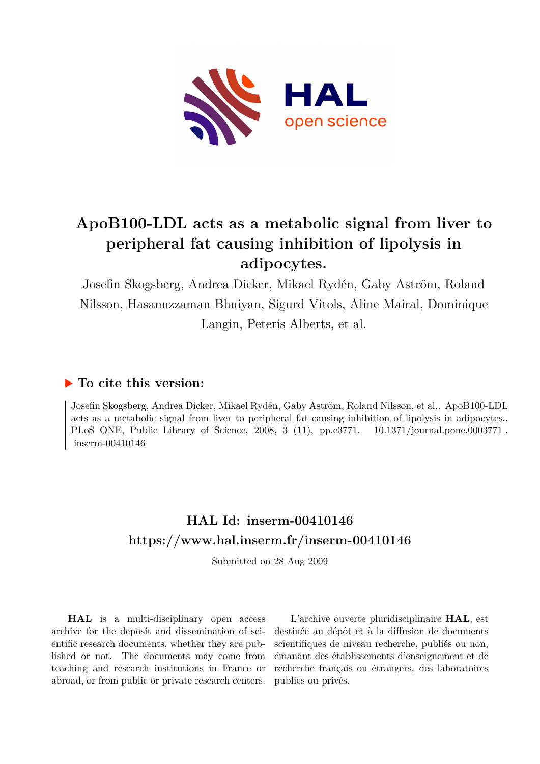

## **ApoB100-LDL acts as a metabolic signal from liver to peripheral fat causing inhibition of lipolysis in adipocytes.**

Josefin Skogsberg, Andrea Dicker, Mikael Rydén, Gaby Aström, Roland Nilsson, Hasanuzzaman Bhuiyan, Sigurd Vitols, Aline Mairal, Dominique Langin, Peteris Alberts, et al.

### **To cite this version:**

Josefin Skogsberg, Andrea Dicker, Mikael Rydén, Gaby Aström, Roland Nilsson, et al.. ApoB100-LDL acts as a metabolic signal from liver to peripheral fat causing inhibition of lipolysis in adipocytes.. PLoS ONE, Public Library of Science, 2008, 3 (11), pp.e3771. 10.1371/journal.pone.0003771.  $inserm-00410146$ 

## **HAL Id: inserm-00410146 <https://www.hal.inserm.fr/inserm-00410146>**

Submitted on 28 Aug 2009

**HAL** is a multi-disciplinary open access archive for the deposit and dissemination of scientific research documents, whether they are published or not. The documents may come from teaching and research institutions in France or abroad, or from public or private research centers.

L'archive ouverte pluridisciplinaire **HAL**, est destinée au dépôt et à la diffusion de documents scientifiques de niveau recherche, publiés ou non, émanant des établissements d'enseignement et de recherche français ou étrangers, des laboratoires publics ou privés.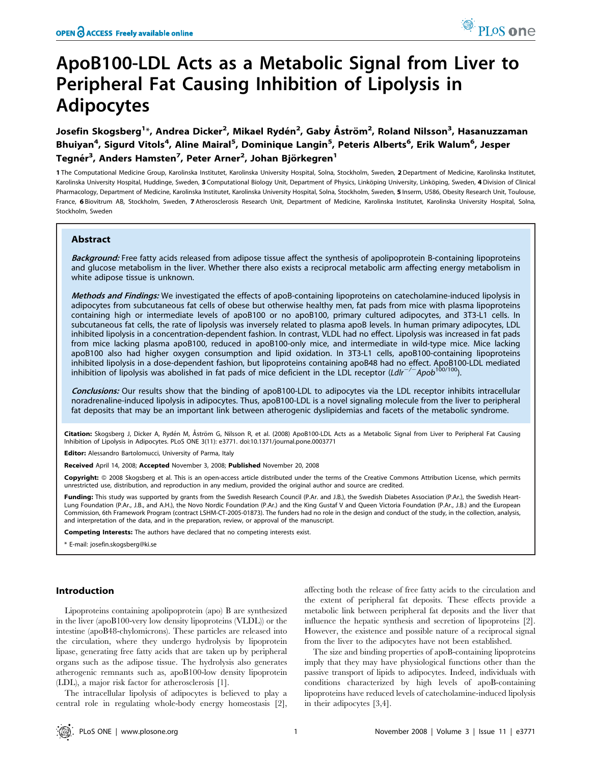# ApoB100-LDL Acts as a Metabolic Signal from Liver to Peripheral Fat Causing Inhibition of Lipolysis in Adipocytes

Josefin Skogsberg<sup>1</sup>\*, Andrea Dicker<sup>2</sup>, Mikael Rydén<sup>2</sup>, Gaby Åström<sup>2</sup>, Roland Nilsson<sup>3</sup>, Hasanuzzaman Bhuiyan<sup>4</sup>, Sigurd Vitols<sup>4</sup>, Aline Mairal<sup>5</sup>, Dominique Langin<sup>5</sup>, Peteris Alberts<sup>6</sup>, Erik Walum<sup>6</sup>, Jesper Tegnér<sup>3</sup>, Anders Hamsten<sup>7</sup>, Peter Arner<sup>2</sup>, Johan Björkegren<sup>1</sup>

1 The Computational Medicine Group, Karolinska Institutet, Karolinska University Hospital, Solna, Stockholm, Sweden, 2 Department of Medicine, Karolinska Institutet, Karolinska University Hospital, Huddinge, Sweden, 3 Computational Biology Unit, Department of Physics, Linköping University, Linköping, Sweden, 4 Division of Clinical Pharmacology, Department of Medicine, Karolinska Institutet, Karolinska University Hospital, Solna, Stockholm, Sweden, 5 Inserm, U586, Obesity Research Unit, Toulouse, France, 6 Biovitrum AB, Stockholm, Sweden, 7 Atherosclerosis Research Unit, Department of Medicine, Karolinska Institutet, Karolinska University Hospital, Solna, Stockholm, Sweden

#### Abstract

Background: Free fatty acids released from adipose tissue affect the synthesis of apolipoprotein B-containing lipoproteins and glucose metabolism in the liver. Whether there also exists a reciprocal metabolic arm affecting energy metabolism in white adipose tissue is unknown.

Methods and Findings: We investigated the effects of apoB-containing lipoproteins on catecholamine-induced lipolysis in adipocytes from subcutaneous fat cells of obese but otherwise healthy men, fat pads from mice with plasma lipoproteins containing high or intermediate levels of apoB100 or no apoB100, primary cultured adipocytes, and 3T3-L1 cells. In subcutaneous fat cells, the rate of lipolysis was inversely related to plasma apoB levels. In human primary adipocytes, LDL inhibited lipolysis in a concentration-dependent fashion. In contrast, VLDL had no effect. Lipolysis was increased in fat pads from mice lacking plasma apoB100, reduced in apoB100-only mice, and intermediate in wild-type mice. Mice lacking apoB100 also had higher oxygen consumption and lipid oxidation. In 3T3-L1 cells, apoB100-containing lipoproteins inhibited lipolysis in a dose-dependent fashion, but lipoproteins containing apoB48 had no effect. ApoB100-LDL mediated<br>inhibition of lipolysis was abolished in fat pads of mice deficient in the LDL receptor (*Ldlr<sup>—/—</sup>Apo* 

Conclusions: Our results show that the binding of apoB100-LDL to adipocytes via the LDL receptor inhibits intracellular noradrenaline-induced lipolysis in adipocytes. Thus, apoB100-LDL is a novel signaling molecule from the liver to peripheral fat deposits that may be an important link between atherogenic dyslipidemias and facets of the metabolic syndrome.

Citation: Skogsberg J, Dicker A, Rydén M, Åström G, Nilsson R, et al. (2008) ApoB100-LDL Acts as a Metabolic Signal from Liver to Peripheral Fat Causing Inhibition of Lipolysis in Adipocytes. PLoS ONE 3(11): e3771. doi:10.1371/journal.pone.0003771

Editor: Alessandro Bartolomucci, University of Parma, Italy

Received April 14, 2008; Accepted November 3, 2008; Published November 20, 2008

Copyright: @ 2008 Skogsberg et al. This is an open-access article distributed under the terms of the Creative Commons Attribution License, which permits unrestricted use, distribution, and reproduction in any medium, provided the original author and source are credited.

Funding: This study was supported by grants from the Swedish Research Council (P.Ar. and J.B.), the Swedish Diabetes Association (P.Ar.), the Swedish Heart-Lung Foundation (P.Ar., J.B., and A.H.), the Novo Nordic Foundation (P.Ar.) and the King Gustaf V and Queen Victoria Foundation (P.Ar., J.B.) and the European<br>Commission, 6th Framework Program (contract LSHM-CT-2005-01873) and interpretation of the data, and in the preparation, review, or approval of the manuscript.

Competing Interests: The authors have declared that no competing interests exist.

\* E-mail: josefin.skogsberg@ki.se

#### Introduction

Lipoproteins containing apolipoprotein (apo) B are synthesized in the liver (apoB100-very low density lipoproteins (VLDL)) or the intestine (apoB48-chylomicrons). These particles are released into the circulation, where they undergo hydrolysis by lipoprotein lipase, generating free fatty acids that are taken up by peripheral organs such as the adipose tissue. The hydrolysis also generates atherogenic remnants such as, apoB100-low density lipoprotein (LDL), a major risk factor for atherosclerosis [1].

The intracellular lipolysis of adipocytes is believed to play a central role in regulating whole-body energy homeostasis [2],

affecting both the release of free fatty acids to the circulation and the extent of peripheral fat deposits. These effects provide a metabolic link between peripheral fat deposits and the liver that influence the hepatic synthesis and secretion of lipoproteins [2]. However, the existence and possible nature of a reciprocal signal from the liver to the adipocytes have not been established.

The size and binding properties of apoB-containing lipoproteins imply that they may have physiological functions other than the passive transport of lipids to adipocytes. Indeed, individuals with conditions characterized by high levels of apoB-containing lipoproteins have reduced levels of catecholamine-induced lipolysis in their adipocytes [3,4].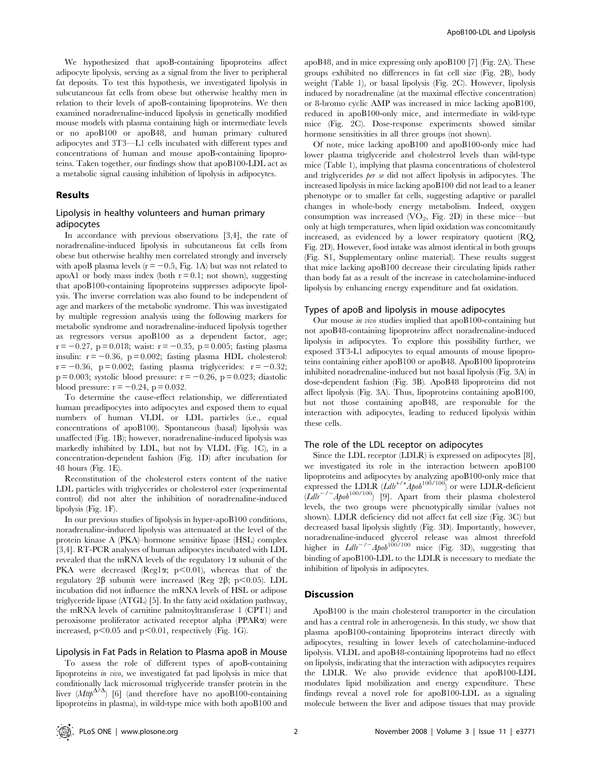We hypothesized that apoB-containing lipoproteins affect adipocyte lipolysis, serving as a signal from the liver to peripheral fat deposits. To test this hypothesis, we investigated lipolysis in subcutaneous fat cells from obese but otherwise healthy men in relation to their levels of apoB-containing lipoproteins. We then examined noradrenaline-induced lipolysis in genetically modified mouse models with plasma containing high or intermediate levels or no apoB100 or apoB48, and human primary cultured adipocytes and 3T3—L1 cells incubated with different types and concentrations of human and mouse apoB-containing lipoproteins. Taken together, our findings show that apoB100-LDL act as a metabolic signal causing inhibition of lipolysis in adipocytes.

#### Results

#### Lipolysis in healthy volunteers and human primary adipocytes

In accordance with previous observations [3,4], the rate of noradrenaline-induced lipolysis in subcutaneous fat cells from obese but otherwise healthy men correlated strongly and inversely with apoB plasma levels ( $r = -0.5$ , Fig. 1A) but was not related to apoA1 or body mass index (both  $r = 0.1$ ; not shown), suggesting that apoB100-containing lipoproteins suppresses adipocyte lipolysis. The inverse correlation was also found to be independent of age and markers of the metabolic syndrome. This was investigated by multiple regression analysis using the following markers for metabolic syndrome and noradrenaline-induced lipolysis together as regressors versus apoB100 as a dependent factor, age;  $r = -0.27$ , p = 0.018; waist:  $r = -0.35$ , p = 0.005; fasting plasma insulin:  $r = -0.36$ ,  $p = 0.002$ ; fasting plasma HDL cholesterol:  $r = -0.36$ , p = 0.002; fasting plasma triglycerides:  $r = -0.32$ ;  $p = 0.003$ ; systolic blood pressure:  $r = -0.26$ ,  $p = 0.023$ ; diastolic blood pressure:  $r = -0.24$ ,  $p = 0.032$ .

To determine the cause-effect relationship, we differentiated human preadipocytes into adipocytes and exposed them to equal numbers of human VLDL or LDL particles (i.e., equal concentrations of apoB100). Spontaneous (basal) lipolysis was unaffected (Fig. 1B); however, noradrenaline-induced lipolysis was markedly inhibited by LDL, but not by VLDL (Fig. 1C), in a concentration-dependent fashion (Fig. 1D) after incubation for 48 hours (Fig. 1E).

Reconstitution of the cholesterol esters content of the native LDL particles with triglycerides or cholesterol ester (experimental control) did not alter the inhibition of noradrenaline-induced lipolysis (Fig. 1F).

In our previous studies of lipolysis in hyper-apoB100 conditions, noradrenaline-induced lipolysis was attenuated at the level of the protein kinase A (PKA)–hormone sensitive lipase (HSL) complex [3,4]. RT-PCR analyses of human adipocytes incubated with LDL revealed that the mRNA levels of the regulatory  $1\alpha$  subunit of the PKA were decreased (Reg1 $\alpha$ ; p<0.01), whereas that of the regulatory 2 $\beta$  subunit were increased (Reg 2 $\beta$ ; p<0.05). LDL incubation did not influence the mRNA levels of HSL or adipose triglyceride lipase (ATGL) [5]. In the fatty acid oxidation pathway, the mRNA levels of carnitine palmitoyltransferase 1 (CPT1) and peroxisome proliferator activated receptor alpha (PPARa) were increased,  $p<0.05$  and  $p<0.01$ , respectively (Fig. 1G).

#### Lipolysis in Fat Pads in Relation to Plasma apoB in Mouse

To assess the role of different types of apoB-containing lipoproteins in vivo, we investigated fat pad lipolysis in mice that conditionally lack microsomal triglyceride transfer protein in the liver  $(Mttp^{\Delta/\Delta})$  [6] (and therefore have no apoB100-containing lipoproteins in plasma), in wild-type mice with both apoB100 and

apoB48, and in mice expressing only apoB100 [7] (Fig. 2A). These groups exhibited no differences in fat cell size (Fig. 2B), body weight (Table 1), or basal lipolysis (Fig. 2C). However, lipolysis induced by noradrenaline (at the maximal effective concentration) or 8-bromo cyclic AMP was increased in mice lacking apoB100, reduced in apoB100-only mice, and intermediate in wild-type mice (Fig. 2C). Dose-response experiments showed similar hormone sensitivities in all three groups (not shown).

Of note, mice lacking apoB100 and apoB100-only mice had lower plasma triglyceride and cholesterol levels than wild-type mice (Table 1), implying that plasma concentrations of cholesterol and triglycerides per se did not affect lipolysis in adipocytes. The increased lipolysis in mice lacking apoB100 did not lead to a leaner phenotype or to smaller fat cells, suggesting adaptive or parallel changes in whole-body energy metabolism. Indeed, oxygen consumption was increased  $(VO_2, Fig. 2D)$  in these mice—but only at high temperatures, when lipid oxidation was concomitantly increased, as evidenced by a lower respiratory quotient (RQ, Fig. 2D). However, food intake was almost identical in both groups (Fig. S1, Supplementary online material). These results suggest that mice lacking apoB100 decrease their circulating lipids rather than body fat as a result of the increase in catecholamine-induced lipolysis by enhancing energy expenditure and fat oxidation.

#### Types of apoB and lipolysis in mouse adipocytes

Our mouse in vivo studies implied that apoB100-containing but not apoB48-containing lipoproteins affect noradrenaline-induced lipolysis in adipocytes. To explore this possibility further, we exposed 3T3-L1 adipocytes to equal amounts of mouse lipoproteins containing either apoB100 or apoB48. ApoB100 lipoproteins inhibited noradrenaline-induced but not basal lipolysis (Fig. 3A) in dose-dependent fashion (Fig. 3B). ApoB48 lipoproteins did not affect lipolysis (Fig. 3A). Thus, lipoproteins containing apoB100, but not those containing apoB48, are responsible for the interaction with adipocytes, leading to reduced lipolysis within these cells.

#### The role of the LDL receptor on adipocytes

Since the LDL receptor (LDLR) is expressed on adipocytes [8], we investigated its role in the interaction between apoB100 lipoproteins and adipocytes by analyzing apoB100-only mice that expressed the LDLR  $(\mathcal{L}dlr^{+/+}Apob^{100/100})$  or were LDLR-deficient  $(Ldh^{-1/2}Apob^{100/100})$  [9]. Apart from their plasma cholesterol levels, the two groups were phenotypically similar (values not shown). LDLR deficiency did not affect fat cell size (Fig. 3C) but decreased basal lipolysis slightly (Fig. 3D). Importantly, however, noradrenaline-induced glycerol release was almost threefold higher in  $L dlr^{-/-}A p \omega^{100/100}$  mice (Fig. 3D), suggesting that binding of apoB100-LDL to the LDLR is necessary to mediate the inhibition of lipolysis in adipocytes.

#### **Discussion**

ApoB100 is the main cholesterol transporter in the circulation and has a central role in atherogenesis. In this study, we show that plasma apoB100-containing lipoproteins interact directly with adipocytes, resulting in lower levels of catecholamine-induced lipolysis. VLDL and apoB48-containing lipoproteins had no effect on lipolysis, indicating that the interaction with adipocytes requires the LDLR. We also provide evidence that apoB100-LDL modulates lipid mobilization and energy expenditure. These findings reveal a novel role for apoB100-LDL as a signaling molecule between the liver and adipose tissues that may provide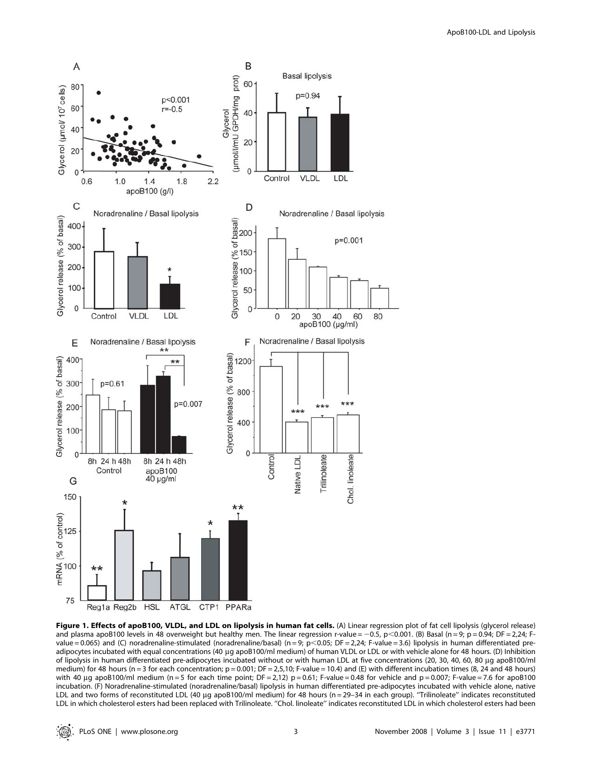

Figure 1. Effects of apoB100, VLDL, and LDL on lipolysis in human fat cells. (A) Linear regression plot of fat cell lipolysis (glycerol release) and plasma apoB100 levels in 48 overweight but healthy men. The linear regression r-value = -0.5, p < 0.001. (B) Basal (n = 9; p = 0.94; DF = 2,24; Fvalue = 0.065) and (C) noradrenaline-stimulated (noradrenaline/basal) (n = 9; p<0.05; DF = 2,24; F-value = 3.6) lipolysis in human differentiated preadipocytes incubated with equal concentrations (40 µg apoB100/ml medium) of human VLDL or LDL or with vehicle alone for 48 hours. (D) Inhibition of lipolysis in human differentiated pre-adipocytes incubated without or with human LDL at five concentrations (20, 30, 40, 60, 80 mg apoB100/ml medium) for 48 hours (n = 3 for each concentration; p = 0.001; DF = 2,5,10; F-value = 10.4) and (E) with different incubation times (8, 24 and 48 hours) with 40 ug apoB100/ml medium (n = 5 for each time point; DF = 2,12) p = 0.61; F-value = 0.48 for vehicle and p = 0.007; F-value = 7.6 for apoB100 incubation. (F) Noradrenaline-stimulated (noradrenaline/basal) lipolysis in human differentiated pre-adipocytes incubated with vehicle alone, native LDL and two forms of reconstituted LDL (40 µg apoB100/ml medium) for 48 hours (n = 29-34 in each group). "Trilinoleate" indicates reconstituted LDL in which cholesterol esters had been replaced with Trilinoleate. ''Chol. linoleate'' indicates reconstituted LDL in which cholesterol esters had been

: © .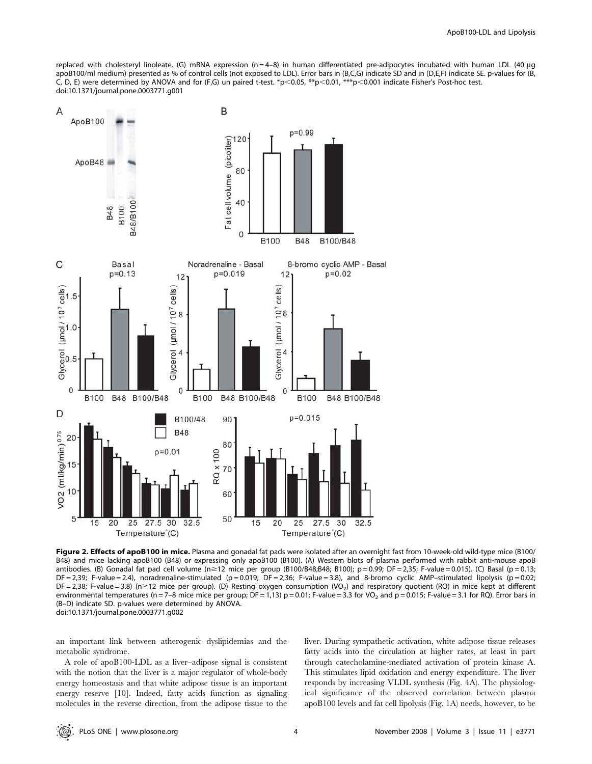replaced with cholesteryl linoleate. (G) mRNA expression (n = 4-8) in human differentiated pre-adipocytes incubated with human LDL (40  $\mu$ g apoB100/ml medium) presented as % of control cells (not exposed to LDL). Error bars in (B,C,G) indicate SD and in (D,E,F) indicate SE. p-values for (B, C, D, E) were determined by ANOVA and for (F,G) un paired t-test. \*p<0.05, \*\*p<0.01, \*\*\*p<0.001 indicate Fisher's Post-hoc test. doi:10.1371/journal.pone.0003771.g001



Figure 2. Effects of apoB100 in mice. Plasma and gonadal fat pads were isolated after an overnight fast from 10-week-old wild-type mice (B100/ B48) and mice lacking apoB100 (B48) or expressing only apoB100 (B100). (A) Western blots of plasma performed with rabbit anti-mouse apoB antibodies. (B) Gonadal fat pad cell volume ( $n \ge 12$  mice per group (B100/B48;B48; B100); p = 0.99; DF = 2,35; F-value = 0.015). (C) Basal (p = 0.13; DF = 2,39; F-value = 2.4), noradrenaline-stimulated (p = 0.019; DF = 2,36; F-value = 3.8), and 8-bromo cyclic AMP–stimulated lipolysis (p = 0.02;  $DF = 2,38$ ; F-value = 3.8) (n  $\ge 12$  mice per group). (D) Resting oxygen consumption (VO<sub>2</sub>) and respiratory quotient (RQ) in mice kept at different environmental temperatures (n = 7-8 mice mice per group; DF = 1,13)  $p = 0.01$ ; F-value = 3.3 for VO<sub>2</sub> and  $p = 0.015$ ; F-value = 3.1 for RQ). Error bars in (B–D) indicate SD. p-values were determined by ANOVA. doi:10.1371/journal.pone.0003771.g002

an important link between atherogenic dyslipidemias and the metabolic syndrome.

A role of apoB100-LDL as a liver–adipose signal is consistent with the notion that the liver is a major regulator of whole-body energy homeostasis and that white adipose tissue is an important energy reserve [10]. Indeed, fatty acids function as signaling molecules in the reverse direction, from the adipose tissue to the

liver. During sympathetic activation, white adipose tissue releases fatty acids into the circulation at higher rates, at least in part through catecholamine-mediated activation of protein kinase A. This stimulates lipid oxidation and energy expenditure. The liver responds by increasing VLDL synthesis (Fig. 4A). The physiological significance of the observed correlation between plasma apoB100 levels and fat cell lipolysis (Fig. 1A) needs, however, to be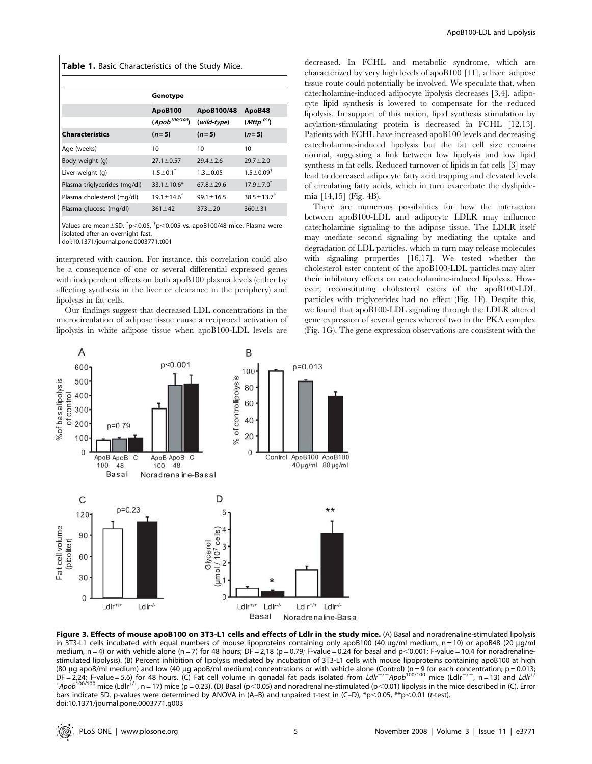Table 1. Basic Characteristics of the Study Mice.

|                              | Genotype                   |                 |                           |
|------------------------------|----------------------------|-----------------|---------------------------|
|                              | <b>ApoB100</b>             | ApoB100/48      | ApoB48                    |
|                              | (Apob <sup>100/100</sup> ) | (wild-type)     | (Mttp <sup>4/A</sup> )    |
| <b>Characteristics</b>       | $(n=5)$                    | $(n=5)$         | $(n=5)$                   |
| Age (weeks)                  | 10                         | 10              | 10                        |
| Body weight (g)              | $27.1 \pm 0.57$            | $29.4 \pm 2.6$  | $29.7 \pm 2.0$            |
| Liver weight (q)             | $1.5 \pm 0.1^*$            | $1.3 \pm 0.05$  | $1.5 \pm 0.09^{\dagger}$  |
| Plasma triglycerides (mg/dl) | $33.1 \pm 10.6*$           | $67.8 \pm 29.6$ | $17.9 \pm 7.0^{\degree}$  |
| Plasma cholesterol (mg/dl)   | $19.1 \pm 14.6^{\dagger}$  | $99.1 \pm 16.5$ | $38.5 \pm 13.7^{\dagger}$ |
| Plasma glucose (mg/dl)       | $361 \pm 42$               | $373 + 20$      | $360 \pm 31$              |

Values are mean $\pm$ SD.  $^*$ p $<$ 0.05,  $^{\dagger}$ p $<$ 0.005 vs. apoB100/48 mice. Plasma were isolated after an overnight fast.

doi:10.1371/journal.pone.0003771.t001

interpreted with caution. For instance, this correlation could also be a consequence of one or several differential expressed genes with independent effects on both apoB100 plasma levels (either by affecting synthesis in the liver or clearance in the periphery) and lipolysis in fat cells.

Our findings suggest that decreased LDL concentrations in the microcirculation of adipose tissue cause a reciprocal activation of lipolysis in white adipose tissue when apoB100-LDL levels are



decreased. In FCHL and metabolic syndrome, which are characterized by very high levels of apoB100 [11], a liver–adipose tissue route could potentially be involved. We speculate that, when catecholamine-induced adipocyte lipolysis decreases [3,4], adipocyte lipid synthesis is lowered to compensate for the reduced lipolysis. In support of this notion, lipid synthesis stimulation by acylation-stimulating protein is decreased in FCHL [12,13]. Patients with FCHL have increased apoB100 levels and decreasing catecholamine-induced lipolysis but the fat cell size remains normal, suggesting a link between low lipolysis and low lipid synthesis in fat cells. Reduced turnover of lipids in fat cells [3] may lead to decreased adipocyte fatty acid trapping and elevated levels of circulating fatty acids, which in turn exacerbate the dyslipidemia [14,15] (Fig. 4B).

There are numerous possibilities for how the interaction between apoB100-LDL and adipocyte LDLR may influence catecholamine signaling to the adipose tissue. The LDLR itself may mediate second signaling by mediating the uptake and degradation of LDL particles, which in turn may release molecules with signaling properties [16,17]. We tested whether the cholesterol ester content of the apoB100-LDL particles may alter their inhibitory effects on catecholamine-induced lipolysis. However, reconstituting cholesterol esters of the apoB100-LDL particles with triglycerides had no effect (Fig. 1F). Despite this, we found that apoB100-LDL signaling through the LDLR altered gene expression of several genes whereof two in the PKA complex (Fig. 1G). The gene expression observations are consistent with the

Figure 3. Effects of mouse apoB100 on 3T3-L1 cells and effects of LdIr in the study mice. (A) Basal and noradrenaline-stimulated lipolysis in 3T3-L1 cells incubated with equal numbers of mouse lipoproteins containing only apoB100 (40  $\mu$ g/ml medium, n = 10) or apoB48 (20  $\mu$ g/ml medium,  $n = 4$ ) or with vehicle alone (n = 7) for 48 hours; DF = 2,18 (p = 0.79; F-value = 0.24 for basal and p<0.001; F-value = 10.4 for noradrenalinestimulated lipolysis). (B) Percent inhibition of lipolysis mediated by incubation of 3T3-L1 cells with mouse lipoproteins containing apoB100 at high (80 μg apoB/ml medium) and low (40 μg apoB/ml medium) concentrations or with vehicle alone (Control) (n=9 for each concentration; p=0.013;<br>DF=2,24; F-value=5.6) for 48 hours. (C) Fat cell volume in gonadal fat pads isolat bars indicate SD. p-values were determined by ANOVA in (A-B) and unpaired t-test in (C-D), \*p<0.05, \*\*p<0.01 (t-test). doi:10.1371/journal.pone.0003771.g003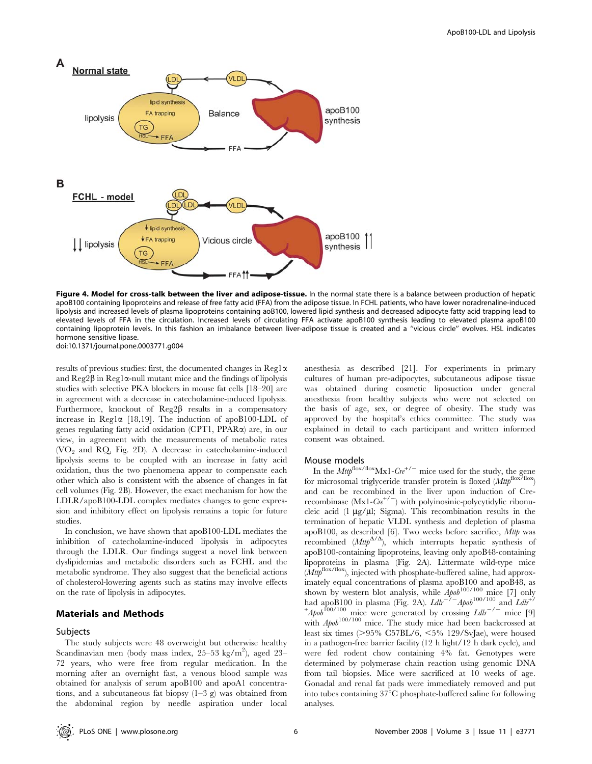

Figure 4. Model for cross-talk between the liver and adipose-tissue. In the normal state there is a balance between production of hepatic apoB100 containing lipoproteins and release of free fatty acid (FFA) from the adipose tissue. In FCHL patients, who have lower noradrenaline-induced lipolysis and increased levels of plasma lipoproteins containing aoB100, lowered lipid synthesis and decreased adipocyte fatty acid trapping lead to elevated levels of FFA in the circulation. Increased levels of circulating FFA activate apoB100 synthesis leading to elevated plasma apoB100 containing lipoprotein levels. In this fashion an imbalance between liver-adipose tissue is created and a ''vicious circle'' evolves. HSL indicates hormone sensitive lipase. doi:10.1371/journal.pone.0003771.g004

results of previous studies: first, the documented changes in Reg1 $\alpha$ and  $\text{Reg2}\beta$  in  $\text{Reg1}\alpha$ -null mutant mice and the findings of lipolysis studies with selective PKA blockers in mouse fat cells [18–20] are in agreement with a decrease in catecholamine-induced lipolysis. Furthermore, knockout of  $\text{Reg2}\beta$  results in a compensatory increase in Reg1 $\alpha$  [18,19]. The induction of apoB100-LDL of genes regulating fatty acid oxidation (CPT1, PPARa) are, in our view, in agreement with the measurements of metabolic rates  $(VO<sub>2</sub> and RQ, Fig. 2D)$ . A decrease in catecholamine-induced lipolysis seems to be coupled with an increase in fatty acid oxidation, thus the two phenomena appear to compensate each other which also is consistent with the absence of changes in fat cell volumes (Fig. 2B). However, the exact mechanism for how the LDLR/apoB100-LDL complex mediates changes to gene expression and inhibitory effect on lipolysis remains a topic for future studies.

In conclusion, we have shown that apoB100-LDL mediates the inhibition of catecholamine-induced lipolysis in adipocytes through the LDLR. Our findings suggest a novel link between dyslipidemias and metabolic disorders such as FCHL and the metabolic syndrome. They also suggest that the beneficial actions of cholesterol-lowering agents such as statins may involve effects on the rate of lipolysis in adipocytes.

#### Materials and Methods

#### Subjects

The study subjects were 48 overweight but otherwise healthy Scandinavian men (body mass index, 25-53 kg/m<sup>2</sup>), aged 23-72 years, who were free from regular medication. In the morning after an overnight fast, a venous blood sample was obtained for analysis of serum apoB100 and apoA1 concentrations, and a subcutaneous fat biopsy  $(1-3 \text{ g})$  was obtained from the abdominal region by needle aspiration under local anesthesia as described [21]. For experiments in primary cultures of human pre-adipocytes, subcutaneous adipose tissue was obtained during cosmetic liposuction under general anesthesia from healthy subjects who were not selected on the basis of age, sex, or degree of obesity. The study was approved by the hospital's ethics committee. The study was explained in detail to each participant and written informed consent was obtained.

#### Mouse models

In the  $Mttp^{flox/Mx1-Cre^{+/-}}$  mice used for the study, the gene for microsomal triglyceride transfer protein is floxed  $(Mttp^{flox/flox})$ and can be recombined in the liver upon induction of Crerecombinase  $(Mx1-Cre^{t/2})$  with polyinosinic-polycytidylic ribonucleic acid (1  $\mu$ g/ $\mu$ l; Sigma). This recombination results in the termination of hepatic VLDL synthesis and depletion of plasma apoB100, as described [6]. Two weeks before sacrifice,  $M$ ttp was recombined  $(Mttp^{\Delta/\Delta})$ , which interrupts hepatic synthesis of apoB100-containing lipoproteins, leaving only apoB48-containing lipoproteins in plasma (Fig. 2A). Littermate wild-type mice  $(Mttp^{\mathrm{flox/flox}})$  injected with phosphate-buffered saline, had approximately equal concentrations of plasma apoB100 and apoB48, as shown by western blot analysis, while  $A_{\mu}^{b}$  holds mice [7] only had apo $\hat{B}100$  in plasma (Fig. 2A).  $Ldh^{-2}$  Apob<sup>100/100</sup> and  $Ldh^{2}$  $+A p \circ b^{100/100}$  mice were generated by crossing  $L dlr^{-/-}$  mice [9] with  $A \rho_0 b^{100/100}$  mice. The study mice had been backcrossed at least six times  $(>95\%$  C57BL/6,  $<5\%$  129/SvJae), were housed in a pathogen-free barrier facility (12 h light/12 h dark cycle), and were fed rodent chow containing 4% fat. Genotypes were determined by polymerase chain reaction using genomic DNA from tail biopsies. Mice were sacrificed at 10 weeks of age. Gonadal and renal fat pads were immediately removed and put into tubes containing  $37^{\circ}$ C phosphate-buffered saline for following analyses.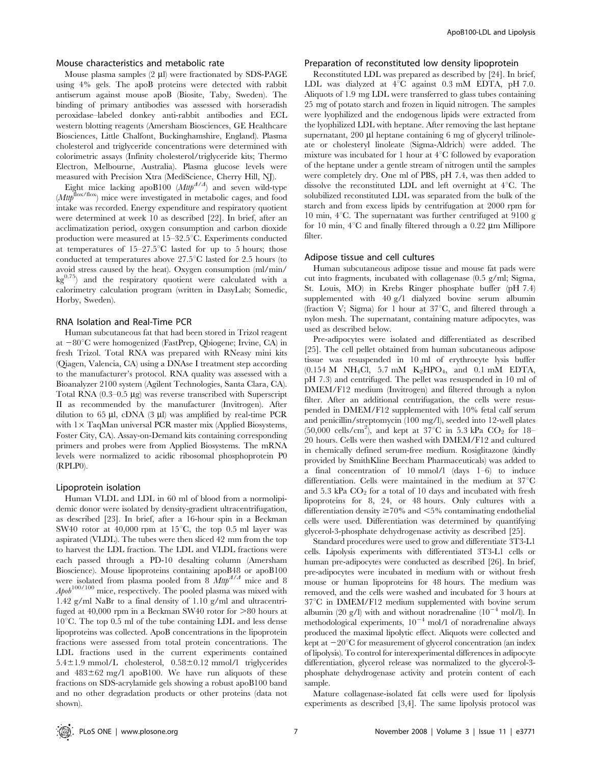#### Mouse characteristics and metabolic rate

Mouse plasma samples  $(2 \mu l)$  were fractionated by SDS-PAGE using 4% gels. The apoB proteins were detected with rabbit antiserum against mouse apoB (Biosite, Taby, Sweden). The binding of primary antibodies was assessed with horseradish peroxidase–labeled donkey anti-rabbit antibodies and ECL western blotting reagents (Amersham Biosciences, GE Healthcare Biosciences, Little Chalfont, Buckinghamshire, England). Plasma cholesterol and triglyceride concentrations were determined with colorimetric assays (Infinity cholesterol/triglyceride kits; Thermo Electron, Melbourne, Australia). Plasma glucose levels were measured with Precision Xtra (MediScience, Cherry Hill, NJ).

Eight mice lacking apoB100  $(Mttp^{d/4})$  and seven wild-type  $(Mttp<sup>flox/flox</sup>)$  mice were investigated in metabolic cages, and food intake was recorded. Energy expenditure and respiratory quotient were determined at week 10 as described [22]. In brief, after an acclimatization period, oxygen consumption and carbon dioxide production were measured at  $15-32.5^{\circ}$ C. Experiments conducted at temperatures of  $15-27.5^{\circ}$ C lasted for up to 5 hours; those conducted at temperatures above  $27.5^{\circ}$ C lasted for 2.5 hours (to avoid stress caused by the heat). Oxygen consumption (ml/min/  $kg^{0.75}$ ) and the respiratory quotient were calculated with a calorimetry calculation program (written in DasyLab; Somedic, Horby, Sweden).

#### RNA Isolation and Real-Time PCR

Human subcutaneous fat that had been stored in Trizol reagent at  $-80^{\circ}$ C were homogenized (FastPrep, Qbiogene; Irvine, CA) in fresh Trizol. Total RNA was prepared with RNeasy mini kits (Qiagen, Valencia, CA) using a DNAse I treatment step according to the manufacturer's protocol. RNA quality was assessed with a Bioanalyzer 2100 system (Agilent Technologies, Santa Clara, CA). Total RNA  $(0.3-0.5 \mu g)$  was reverse transcribed with Superscript II as recommended by the manufacturer (Invitrogen). After dilution to 65  $\mu$ l, cDNA (3  $\mu$ l) was amplified by real-time PCR with  $1 \times$  TaqMan universal PCR master mix (Applied Biosystems, Foster City, CA). Assay-on-Demand kits containing corresponding primers and probes were from Applied Biosystems. The mRNA levels were normalized to acidic ribosomal phosphoprotein P0 (RPLP0).

#### Lipoprotein isolation

Human VLDL and LDL in 60 ml of blood from a normolipidemic donor were isolated by density-gradient ultracentrifugation, as described [23]. In brief, after a 16-hour spin in a Beckman SW40 rotor at  $40,000$  rpm at  $15^{\circ}$ C, the top 0.5 ml layer was aspirated (VLDL). The tubes were then sliced 42 mm from the top to harvest the LDL fraction. The LDL and VLDL fractions were each passed through a PD-10 desalting column (Amersham Bioscience). Mouse lipoproteins containing apoB48 or apoB100 were isolated from plasma pooled from  $\frac{8}{8}$  Mttp<sup> $\frac{1}{2}$ </sup> mice and 8  $A p_0 b^{100/100}$  mice, respectively. The pooled plasma was mixed with 1.42 g/ml NaBr to a final density of 1.10 g/ml and ultracentrifuged at  $40,000$  rpm in a Beckman SW40 rotor for  $>80$  hours at  $10^{\circ}$ C. The top 0.5 ml of the tube containing LDL and less dense lipoproteins was collected. ApoB concentrations in the lipoprotein fractions were assessed from total protein concentrations. The LDL fractions used in the current experiments contained  $5.4 \pm 1.9$  mmol/L cholesterol,  $0.58 \pm 0.12$  mmol/l triglycerides and  $483\pm62$  mg/l apoB100. We have run aliquots of these fractions on SDS-acrylamide gels showing a robust apoB100 band and no other degradation products or other proteins (data not shown).

#### Preparation of reconstituted low density lipoprotein

Reconstituted LDL was prepared as described by [24]. In brief, LDL was dialyzed at  $4^{\circ}$ C against 0.3 mM EDTA, pH 7.0. Aliquots of 1.9 mg LDL were transferred to glass tubes containing 25 mg of potato starch and frozen in liquid nitrogen. The samples were lyophilized and the endogenous lipids were extracted from the lyophilized LDL with heptane. After removing the last heptane supernatant,  $200 \mu l$  heptane containing 6 mg of glyceryl trilinoleate or cholesteryl linoleate (Sigma-Aldrich) were added. The mixture was incubated for 1 hour at  $4^{\circ}$ C followed by evaporation of the heptane under a gentle stream of nitrogen until the samples were completely dry. One ml of PBS, pH 7.4, was then added to dissolve the reconstituted LDL and left overnight at  $4^{\circ}$ C. The solubilized reconstituted LDL was separated from the bulk of the starch and from excess lipids by centrifugation at 2000 rpm for 10 min,  $4^{\circ}$ C. The supernatant was further centrifuged at 9100 g for 10 min,  $4^{\circ}$ C and finally filtered through a 0.22  $\mu$ m Millipore filter.

#### Adipose tissue and cell cultures

Human subcutaneous adipose tissue and mouse fat pads were cut into fragments, incubated with collagenase (0.5 g/ml; Sigma, St. Louis, MO) in Krebs Ringer phosphate buffer (pH 7.4) supplemented with 40 g/l dialyzed bovine serum albumin (fraction V; Sigma) for 1 hour at  $37^{\circ}$ C, and filtered through a nylon mesh. The supernatant, containing mature adipocytes, was used as described below.

Pre-adipocytes were isolated and differentiated as described [25]. The cell pellet obtained from human subcutaneous adipose tissue was resuspended in 10 ml of erythrocyte lysis buffer  $(0.154 \text{ M} \text{NH}_4\text{Cl}, 5.7 \text{ mM} \text{K}_2\text{HPO}_4, \text{and } 0.1 \text{ mM} \text{EDTA},$ pH 7.3) and centrifuged. The pellet was resuspended in 10 ml of DMEM/F12 medium (Invitrogen) and filtered through a nylon filter. After an additional centrifugation, the cells were resuspended in DMEM/F12 supplemented with 10% fetal calf serum and penicillin/streptomycin (100 mg/l), seeded into 12-well plates (50,000 cells/cm<sup>2</sup>), and kept at  $37^{\circ}$ C in 5.3 kPa CO<sub>2</sub> for 18– 20 hours. Cells were then washed with DMEM/F12 and cultured in chemically defined serum-free medium. Rosiglitazone (kindly provided by SmithKline Beecham Pharmaceuticals) was added to a final concentration of 10 mmol/l (days 1–6) to induce differentiation. Cells were maintained in the medium at  $37^{\circ}$ C and  $5.3$  kPa  $CO<sub>2</sub>$  for a total of 10 days and incubated with fresh lipoproteins for 8, 24, or 48 hours. Only cultures with a differentiation density  $\geq$  70% and  $\leq$  5% contaminating endothelial cells were used. Differentiation was determined by quantifying glycerol-3-phosphate dehydrogenase activity as described [25].

Standard procedures were used to grow and differentiate 3T3-L1 cells. Lipolysis experiments with differentiated 3T3-L1 cells or human pre-adipocytes were conducted as described [26]. In brief, pre-adipocytes were incubated in medium with or without fresh mouse or human lipoproteins for 48 hours. The medium was removed, and the cells were washed and incubated for 3 hours at  $37^{\circ}$ C in DMEM/F12 medium supplemented with bovine serum albumin (20 g/l) with and without noradrenaline ( $10^{-4}$  mol/l). In methodological experiments,  $10^{-4}$  mol/l of noradrenaline always produced the maximal lipolytic effect. Aliquots were collected and kept at  $-20^{\circ}$ C for measurement of glycerol concentration (an index of lipolysis). To control for interexperimental differences in adipocyte differentiation, glycerol release was normalized to the glycerol-3 phosphate dehydrogenase activity and protein content of each sample.

Mature collagenase-isolated fat cells were used for lipolysis experiments as described [3,4]. The same lipolysis protocol was